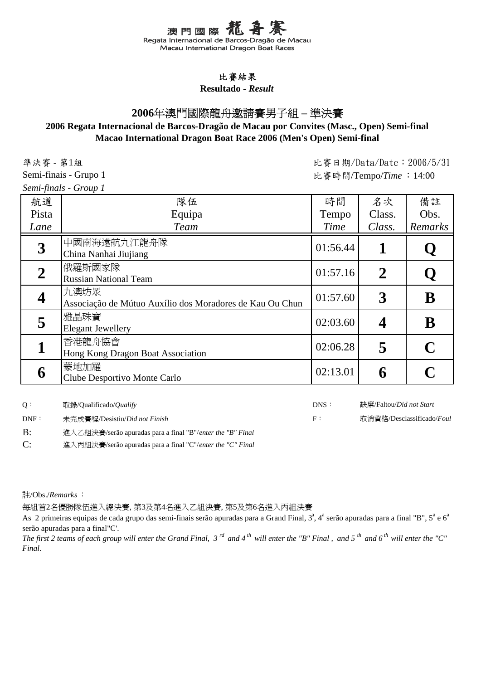澳門國際 Regata Internacional de Barcos-Dragão de Macau Macau International Dragon Boat Races

#### 比賽結果

**Resultado -** *Result*

# **2006**年澳門國際龍舟邀請賽男子組 **–** 準決賽

### **2006 Regata Internacional de Barcos-Dragão de Macau por Convites (Masc., Open) Semi-final Macao International Dragon Boat Race 2006 (Men's Open) Semi-final**

比賽日期/Data/Date:2006/5/31 比賽時間/Tempo/*Time* :14:00

準決賽 - 第1組

Semi-finais - Grupo 1

*Semi-finals - Group 1*

| JUNII JUNIID<br>$O100 \mu L$ |                                                                  |          |                  |          |
|------------------------------|------------------------------------------------------------------|----------|------------------|----------|
| 航道                           | 隊伍                                                               | 時間       | 名次               | 備註       |
| Pista                        | Equipa                                                           | Tempo    | Class.           | Obs.     |
| Lane                         | <b>Team</b>                                                      | Time     | Class.           | Remarks  |
| 3                            | 中國南海遠航九江龍舟隊<br>China Nanhai Jiujiang                             | 01:56.44 | 1                |          |
| $\boldsymbol{2}$             | 俄羅斯國家隊<br><b>Russian National Team</b>                           | 01:57.16 | $\boldsymbol{2}$ |          |
| $\overline{\mathbf{4}}$      | 九澳坊眾<br>Associação de Mútuo Auxílio dos Moradores de Kau Ou Chun | 01:57.60 | 3                | B        |
| 5                            | 雅晶珠寶<br><b>Elegant Jewellery</b>                                 | 02:03.60 |                  | $\bf{B}$ |
| 1                            | 香港龍舟協會<br>Hong Kong Dragon Boat Association                      | 02:06.28 | 5                |          |
| 6                            | 蒙地加羅<br>Clube Desportivo Monte Carlo                             | 02:13.01 | 6                |          |

| O:   | 取錄/Qualificado/ <i>Qualify</i>                             | DNS: | 缺席/Faltou/ <i>Did not Start</i> |
|------|------------------------------------------------------------|------|---------------------------------|
| DNF: | 未完成賽程/Desistiu/ <i>Did not Finish</i>                      | F :  | 取消資格/Desclassificado/Foul       |
| B:   | 進入乙組決賽/serão apuradas para a final "B"/enter the "B" Final |      |                                 |

C: 進入丙組決賽/serão apuradas para a final "C"/*enter the "C" Final*

註/Obs./*Remarks*:

每組首2名優勝隊伍進入總決賽, 第3及第4名進入乙組決賽, 第5及第6名進入丙組決賽

As 2 primeiras equipas de cada grupo das semi-finais serão apuradas para a Grand Final,  $3^a$ ,  $4^a$  serão apuradas para a final "B",  $5^a$  e  $6^a$ serão apuradas para a final"C'.

*The first 2 teams of each group will enter the Grand Final, 3 rd and 4 th will enter the "B" Final , and 5 th and 6 th will enter the "C" Final.*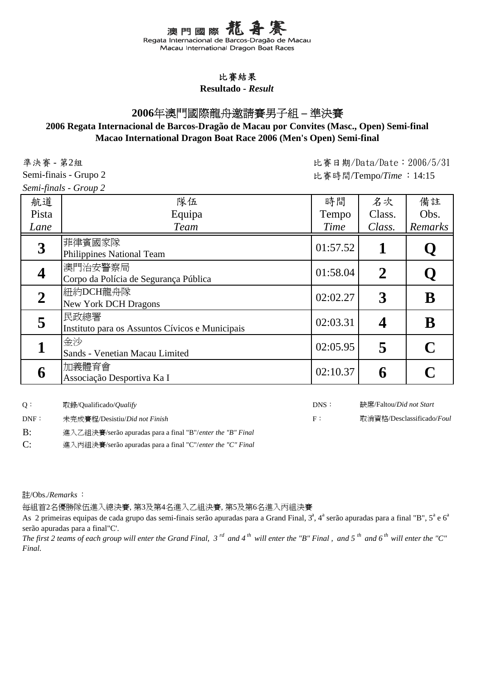澳門國際 Regata Internacional de Barcos-Dragão de Macau Macau International Dragon Boat Races

#### 比賽結果

**Resultado -** *Result*

# **2006**年澳門國際龍舟邀請賽男子組 **–** 準決賽

### **2006 Regata Internacional de Barcos-Dragão de Macau por Convites (Masc., Open) Semi-final Macao International Dragon Boat Race 2006 (Men's Open) Semi-final**

比賽日期/Data/Date:2006/5/31 比賽時間/Tempo/*Time* :14:15

準決賽 - 第2組

Semi-finais - Grupo 2

*Semi-finals - Group 2*

| 航道    | 隊伍                                                      | 時間       | 名次             | 備註          |
|-------|---------------------------------------------------------|----------|----------------|-------------|
| Pista | Equipa                                                  | Tempo    | Class.         | Obs.        |
| Lane  | <b>Team</b>                                             | Time     | Class.         | Remarks     |
| 3     | 菲律賓國家隊<br>Philippines National Team                     | 01:57.52 |                |             |
|       | 澳門治安警察局<br>Corpo da Polícia de Segurança Pública        | 01:58.04 | $\overline{2}$ |             |
|       | 紐約DCH龍舟隊<br><b>New York DCH Dragons</b>                 | 02:02.27 | 3              | $\mathbf B$ |
| 5     | 民政總署<br>Instituto para os Assuntos Cívicos e Municipais | 02:03.31 |                | B           |
|       | 金沙<br>Sands - Venetian Macau Limited                    | 02:05.95 | 5              |             |
| 6     | 加義體育會<br>Associação Desportiva Ka I                     | 02:10.37 | 6              |             |

| O :              | 取錄/Oualificado/ <i>Oualify</i>                             | DNS : | 缺席/Faltou/ <i>Did not Start</i> |
|------------------|------------------------------------------------------------|-------|---------------------------------|
| $\mathsf{DNF}$ : | 未完成賽程/Desistiu/ <i>Did not Finish</i>                      | E :   | 取消資格/Desclassificado/Foul       |
| B:               | 進入乙組決賽/serão apuradas para a final "B"/enter the "B" Final |       |                                 |

C: 進入丙組決賽/serão apuradas para a final "C"/*enter the "C" Final*

註/Obs./*Remarks*:

每組首2名優勝隊伍進入總決賽, 第3及第4名進入乙組決賽, 第5及第6名進入丙組決賽

As 2 primeiras equipas de cada grupo das semi-finais serão apuradas para a Grand Final,  $3^a$ ,  $4^a$  serão apuradas para a final "B",  $5^a$  e  $6^a$ serão apuradas para a final"C'.

*The first 2 teams of each group will enter the Grand Final, 3 rd and 4 th will enter the "B" Final , and 5 th and 6 th will enter the "C" Final.*